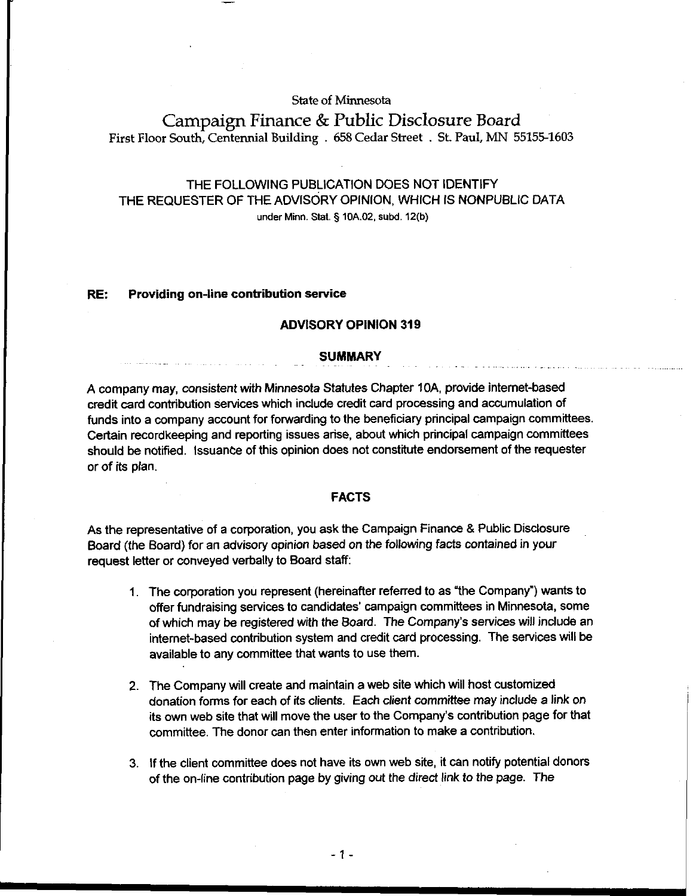## **State of Minnesota**

# **Campaign Finance** & **Public Disclosure Board First Floor South, Centennial Building** . **658 Cedar Street** . **St. Paul, MN 55155-1603**

## THE FOLLOWING PUBLICATION DOES NOT IDENTIFY THE REQUESTER OF THE ADVISORY OPINION. WHICH IS NONPUBLIC DATA **under Minn. Stat. 5 10A.02, subd. 12(b)**

#### RE: Providing on-line contribution service

## ADVISORY OPINION 319

#### **SUMMARY**

A company may, consistent with Minnesota Statutes Chapter **IOA,** provide intemet-based credit card contribution services which indude credit card processing and accumulation of funds into a company account for forwarding to the beneficiary principal campaign committees. Certain recordkeeping and reporting issues arise, about which principal campaign committees should be notified. Issuance of this opinion does not constiiute endorsement of the requester or of its plan.

### FACTS

As the representative of a corporation, you ask the Campaign Finance & Public Disclosure Board (the Board) for an advisory opinion based on the following facts contained in your request letter or conveyed verbally to Board staff:

- 1. The corporation you represent (hereinafter referred to as 'the Company") wants to offer fundraising services to candidates' campaign committees in Minnesota, some of which may be registered with the Board. The Company's services will include an internet-based contribution system and credit card processing. The services will be available to any committee that wants to use them.
- 2. The Company will create and maintain a web site which will host customized donation forms for each of its clients. Each client committee may include a link on its own web site that will move the user to the Company's contribution page for that committee. The donor can then enter information to make a contribution.
- 3. If the client committee does not have its own web site, it can notify potential donors of the on-line contribution page by giving out the direct link to the page. The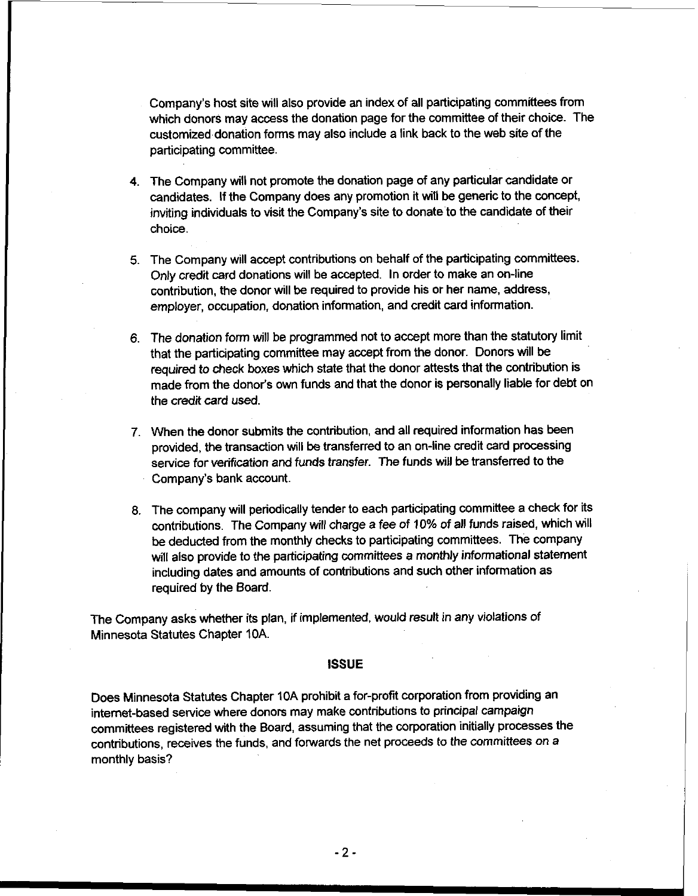Company's host site will also provide an index of all participating committees from which donors may access the donation page for the committee of their choice. The customized donation forms may also include a link back to the web site of the participating committee.

- 4. The Company will not promote the donation page of any particular candidate or candidates. If the Company does any promotion it will be generic to the concept, inviting individuals to visit the Company's site to donate to the candidate of their choice.
- 5. The Company will accept contributions on behalf of the participating committees. Only credit card donations will be accepted. In order to make an on-line contribution, the donor will be required to provide his or her name, address, employer, occupation, donation information, and credit card information.
- 6. The donation form will be programmed not to accept more than the statutory limit that the participating committee may accept from the donor. Donors will be required to check boxes which state that the donor attests that the contribution is made from the donor's own funds and that the donor is personally liable for debt on the credit card used.
- 7. When the donor submits the contribution, and all required information has been provided, the transaction will be transferred to an on-line credit card processing sewice for verification and funds transfer. The funds will be transferred to the Company's bank account.
- 8. The company will periodically tender to each participating committee a check for its contributions. The Company will charge a fee of 10% of all funds raised, which will be deducted from the monthly checks to participating committees. The company will also provide to the participating committees a monthly informational statement including dates and amounts of contributions and such other information as required by the Board.

The Company asks whether its plan, if implemented, would result in any violations of Minnesota Statutes Chapter 10A.

#### **ISSUE**

Does Minnesota Statutes Chapter 10A prohibit a for-profit corporation from providing an internet-based service where donors may make contributions to principal campaign committees registered with the Board, assuming that the corporation initially processes the contributions, receives the funds, and fowards the net proceeds to the committees on a monthly basis?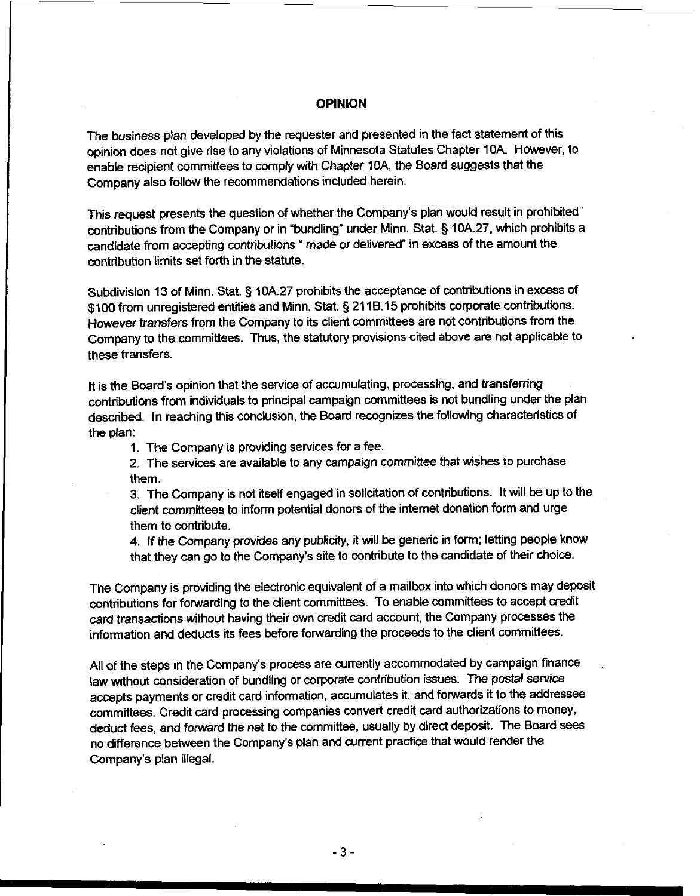## OPINION

The business plan developed by the requester and presented in the fact statement of this opinion does not give rise to any violations of Minnesota Statutes Chapter 10A. However, to enable recipient committees to comply with Chapter IOA, the Board suggests that the Company also follow the recommendations included herein.

This request presents the question of whether the Company's plan would result in prohibited contributions from the Company or in "bundling" under Minn. Stat. § 10A.27, which prohibits a candidate from accepting contributions ' made or delivered" in excess of the amount the contribution limits set forth in the statute.

Subdivision 13 of Minn. Stat. **5** 10A.27 prohibits the acceptance of contributions in excess of \$100 from unregistered entities and Minn. Stat. **5** 21 16.15 prohibits corporate contributions. However transfers from the Company to its client committees are not contributions from the Company to the committees. Thus, the statutory provisions cited above are not applicable to these transfers.

It is the Board's opinion that the service of accumulating, processing, and transfening contributions from individuals to principal campaign committees is not bundling under the plan described. In reaching this conclusion, the Board recognizes the following characteristics of the plan:

1. The Company is providing sewices for a fee.

2. The services are available to any campaign committee that wishes to purchase them.

3. The Company is not itself engaged in solicitation of contributions. It will be up to the client committees to inform potential donors of the internet donation form and urge them to contribute.

4. If the Company provides any publicity, it will **be** generic in form; letting people know that they can go to the Company's site to contribute to the candidate of their choice.

The Company is providing the electronic equivalent of a mailbox into which donors may deposit contributions for forwarding to the client committees. To enable committees to accept credit card transactions without having their own credit card account, the Company processes the information and deducts its fees before forwarding the proceeds to the client committees.

All of the steps in the Company's process are currently accommodated by campaign finance law without consideration of bundling or corporate contribution issues. The postal service accepts payments or credit card information, accumulates it, and forwards it to the addressee committees. Credit card processing companies convert credit card authorizations to money, deduct fees. and forward the net to the committee, usually by direct deposit. The Board sees no difference between the Company's plan and current practice that would render the Company's plan illegal.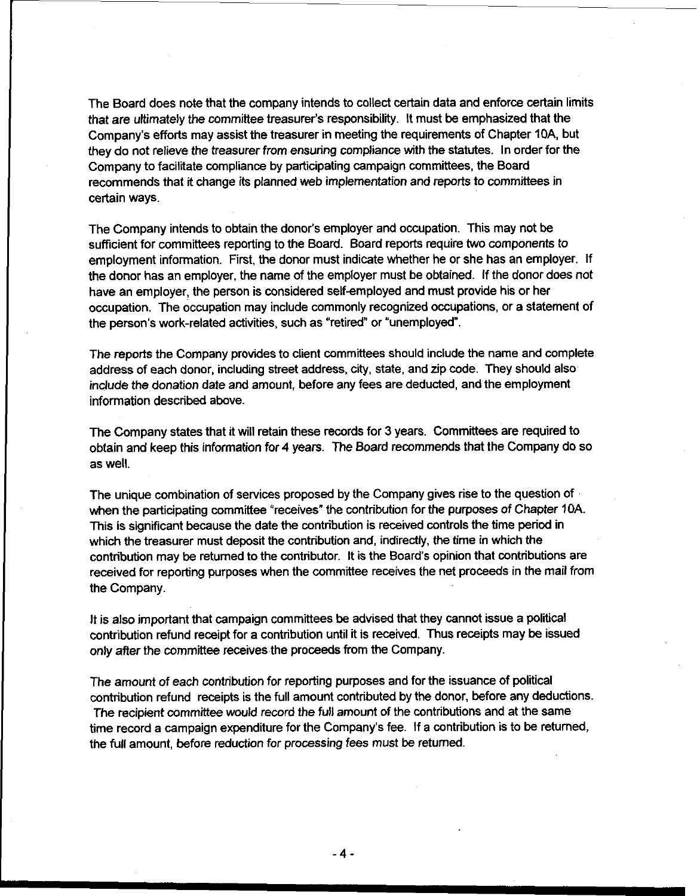The Board does note that the company intends to collect certain data and enforce certain limits that are ultimately the committee treasurer's responsibility. It must be emphasized that the Company's efforts may assist the treasurer in meeting the requirements of Chapter **IOA,** but they do not relieve the treasurer from ensuring compliance with the statutes. In order for the Company to facilitate compliance by participating campaign committees, the Board recommends that it change its planned web implementation and reports to committees in certain ways.

The Company intends to obtain the donor's employer and occupation. This may not be sufficient for committees reporting to the Board. Board reports require two components to employment information. First, the donor must indicate whether he or she has an employer. If the donor has an employer, the name of the employer must be obtained. If the donor does not have an employer, the person is considered self-employed and must provide his or her occupation. The occupation may include commonly recognized occupations, or a statement of the person's work-related activities, such as "retired" or "unemployed".

The reports the Company provides to client committees should include the name and complete address of each donor, including street address, city, state, and zip code. They should also include the donation date and amount, before any fees are deducted, and the employment information described above.

The Company states that it will retain these records for 3 years. Committees are required to obtain and keep this information for 4 years. The Board recommends that the Company do so as well.

The unique combination of services proposed by the Company gives rise to the question of  $\cdot$ when the participating committee "receives" the contribution for the purposes of Chapter **IDA.**  This is significant because the date the contribution is received controls the time period in which the treasurer must deposit the contribution and, indirectly, the time in which the contribution may be retumed to the contributor. It is the Board's opinion that contributions are received for reporting purposes when the committee receives the net proceeds in the mail from the Company.

It is also important that campaign committees be advised that they cannot issue a political contribution refund receipt for a contribution until it is received. Thus receipts may be issued only after the committee receives the proceeds from the Company.

The amount of each contribution for reporting purposes and for the issuance of political contribution refund receipts is the full amount contributed by the donor, before any deductions. The recipient committee would record the full amount of the contributions and at the same time record a campaign expenditure for the Company's fee. If a contribution is to be returned, the full amount, before reduction for processing fees must **be** returned.